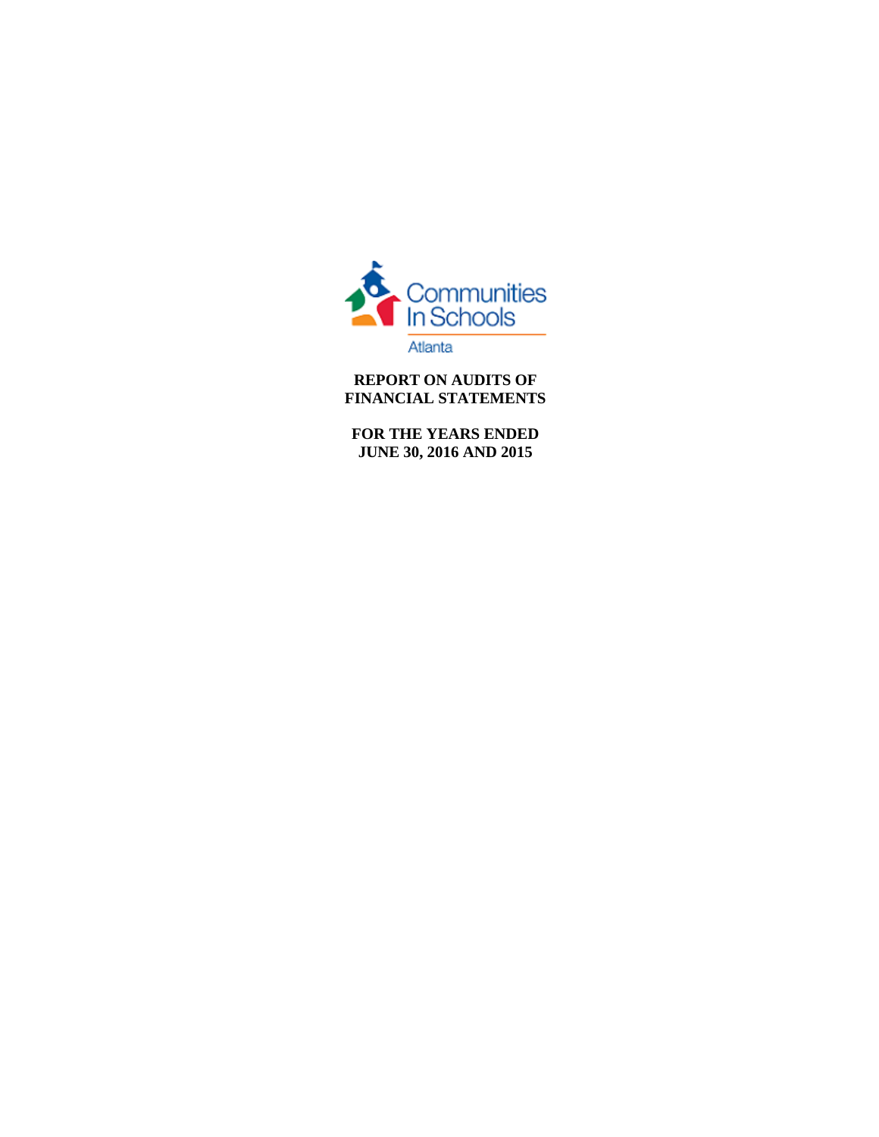

#### **REPORT ON AUDITS OF FINANCIAL STATEMENTS**

**FOR THE YEARS ENDED JUNE 30, 2016 AND 2015**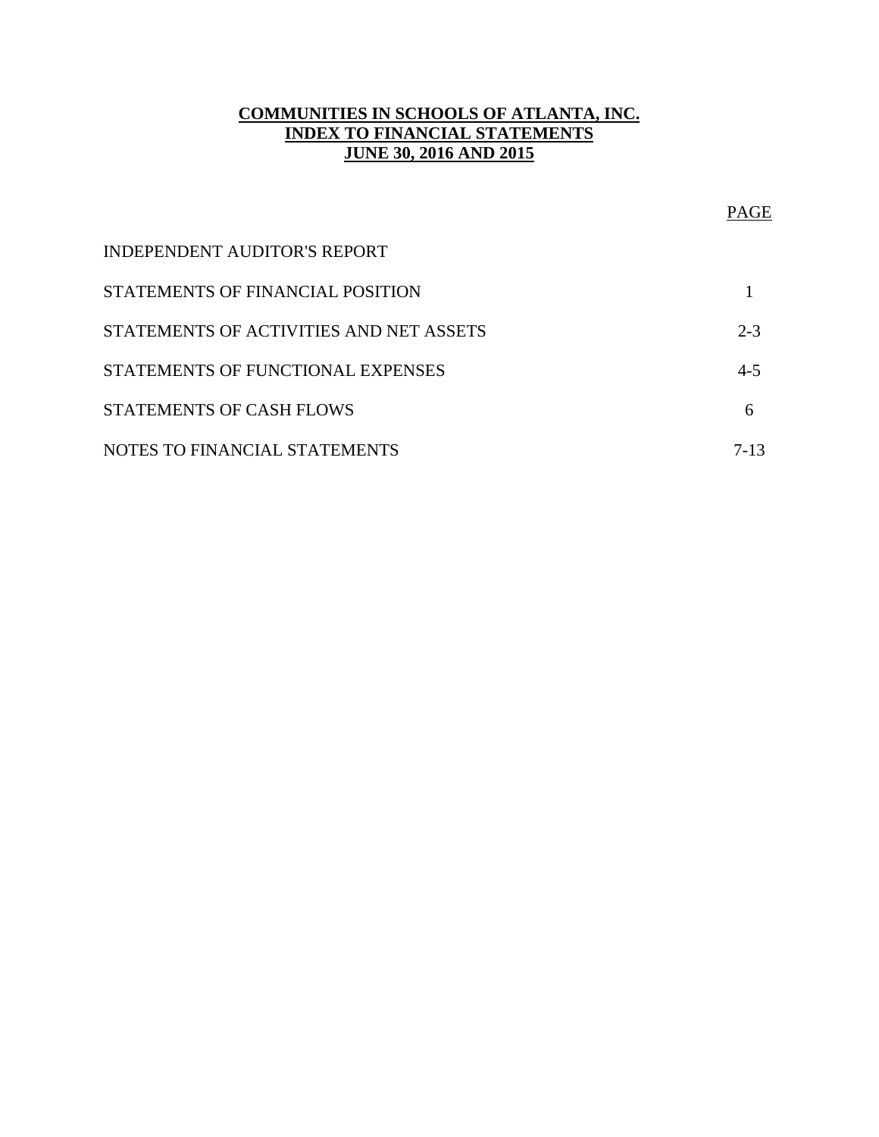# **COMMUNITIES IN SCHOOLS OF ATLANTA, INC. INDEX TO FINANCIAL STATEMENTS JUNE 30, 2016 AND 2015**

|                                         | PAGE    |
|-----------------------------------------|---------|
| <b>INDEPENDENT AUDITOR'S REPORT</b>     |         |
| STATEMENTS OF FINANCIAL POSITION        |         |
| STATEMENTS OF ACTIVITIES AND NET ASSETS | $2 - 3$ |
| STATEMENTS OF FUNCTIONAL EXPENSES       | $4 - 5$ |
| <b>STATEMENTS OF CASH FLOWS</b>         | 6       |
| NOTES TO FINANCIAL STATEMENTS           | 7-13    |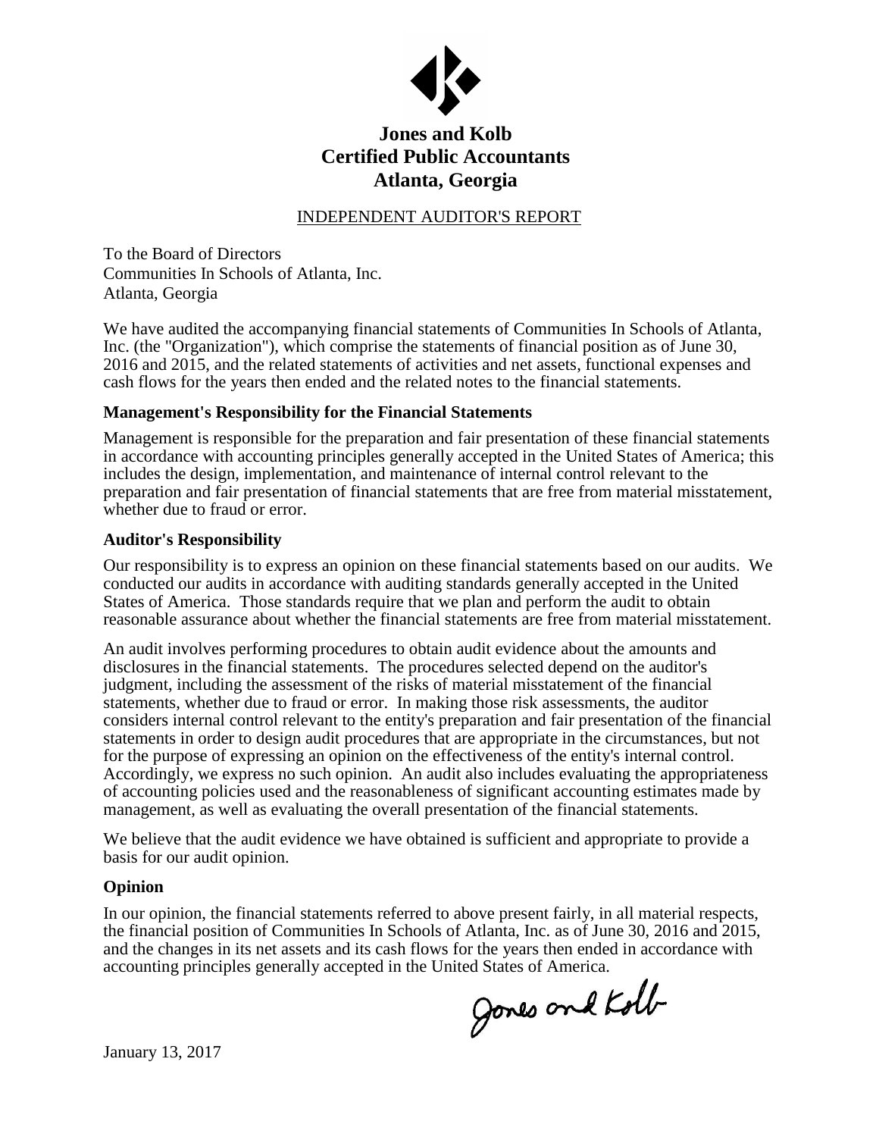

# **Jones and Kolb Certified Public Accountants Atlanta, Georgia**

# INDEPENDENT AUDITOR'S REPORT

To the Board of Directors Communities In Schools of Atlanta, Inc. Atlanta, Georgia

We have audited the accompanying financial statements of Communities In Schools of Atlanta, Inc. (the "Organization"), which comprise the statements of financial position as of June 30, 2016 and 2015, and the related statements of activities and net assets, functional expenses and cash flows for the years then ended and the related notes to the financial statements.

#### **Management's Responsibility for the Financial Statements**

Management is responsible for the preparation and fair presentation of these financial statements in accordance with accounting principles generally accepted in the United States of America; this includes the design, implementation, and maintenance of internal control relevant to the preparation and fair presentation of financial statements that are free from material misstatement, whether due to fraud or error.

#### **Auditor's Responsibility**

Our responsibility is to express an opinion on these financial statements based on our audits. We conducted our audits in accordance with auditing standards generally accepted in the United States of America. Those standards require that we plan and perform the audit to obtain reasonable assurance about whether the financial statements are free from material misstatement.

An audit involves performing procedures to obtain audit evidence about the amounts and disclosures in the financial statements. The procedures selected depend on the auditor's judgment, including the assessment of the risks of material misstatement of the financial statements, whether due to fraud or error. In making those risk assessments, the auditor considers internal control relevant to the entity's preparation and fair presentation of the financial statements in order to design audit procedures that are appropriate in the circumstances, but not for the purpose of expressing an opinion on the effectiveness of the entity's internal control. Accordingly, we express no such opinion. An audit also includes evaluating the appropriateness of accounting policies used and the reasonableness of significant accounting estimates made by management, as well as evaluating the overall presentation of the financial statements.

We believe that the audit evidence we have obtained is sufficient and appropriate to provide a basis for our audit opinion.

#### **Opinion**

In our opinion, the financial statements referred to above present fairly, in all material respects, the financial position of Communities In Schools of Atlanta, Inc. as of June 30, 2016 and 2015, and the changes in its net assets and its cash flows for the years then ended in accordance with

accounting principles generally accepted in the United States of America.<br>Conta on the United States of America.

January 13, 2017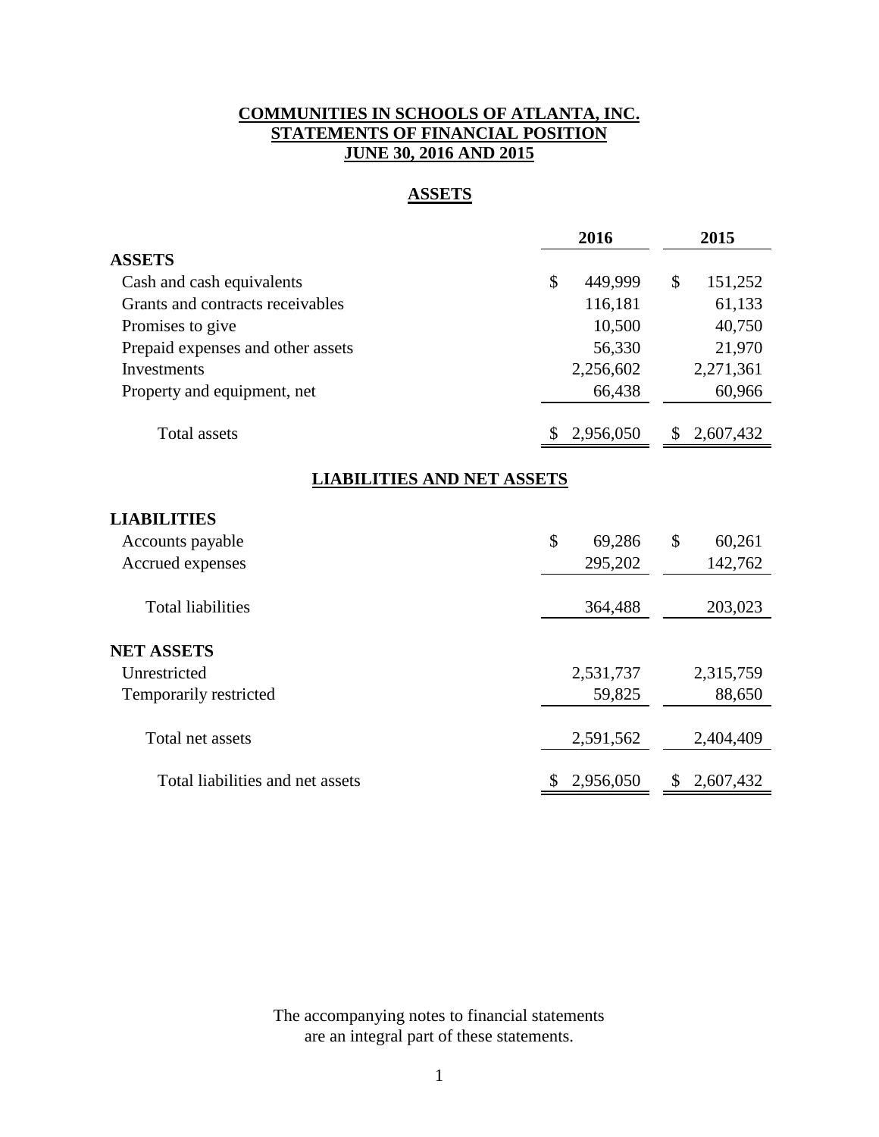# **COMMUNITIES IN SCHOOLS OF ATLANTA, INC. STATEMENTS OF FINANCIAL POSITION JUNE 30, 2016 AND 2015**

## **ASSETS**

|                                   | 2016                     | 2015            |
|-----------------------------------|--------------------------|-----------------|
| <b>ASSETS</b>                     |                          |                 |
| Cash and cash equivalents         | $\mathcal{S}$<br>449,999 | \$<br>151,252   |
| Grants and contracts receivables  | 116,181                  | 61,133          |
| Promises to give                  | 10,500                   | 40,750          |
| Prepaid expenses and other assets | 56,330                   | 21,970          |
| Investments                       | 2,256,602                | 2,271,361       |
| Property and equipment, net       | 66,438                   | 60,966          |
| <b>Total assets</b>               | 2,956,050                | \$2,607,432     |
| <b>LIABILITIES AND NET ASSETS</b> |                          |                 |
| <b>LIABILITIES</b>                |                          |                 |
| Accounts payable                  | \$<br>69,286             | \$<br>60,261    |
| Accrued expenses                  | 295,202                  | 142,762         |
| <b>Total liabilities</b>          | 364,488                  | 203,023         |
| <b>NET ASSETS</b>                 |                          |                 |
| Unrestricted                      | 2,531,737                | 2,315,759       |
| Temporarily restricted            | 59,825                   | 88,650          |
| Total net assets                  | 2,591,562                | 2,404,409       |
| Total liabilities and net assets  | 2,956,050<br>\$          | 2,607,432<br>\$ |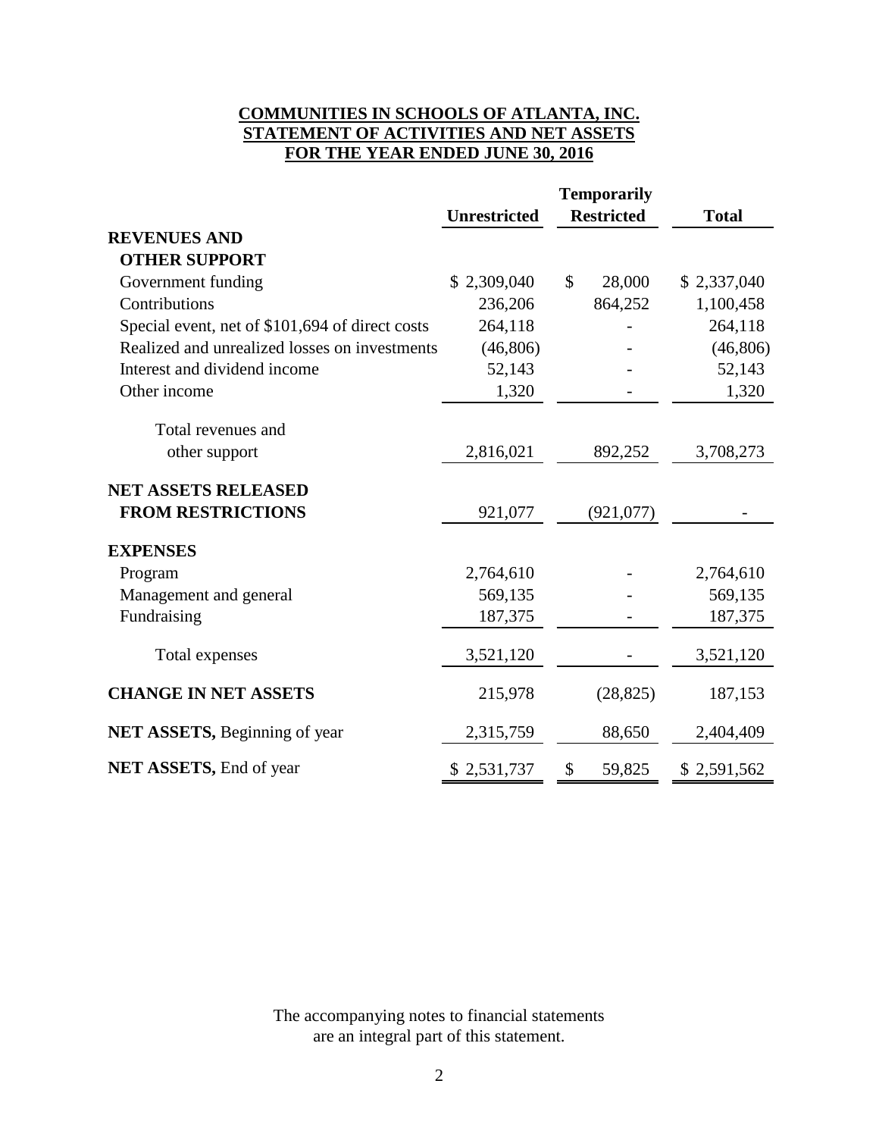## **COMMUNITIES IN SCHOOLS OF ATLANTA, INC. STATEMENT OF ACTIVITIES AND NET ASSETS FOR THE YEAR ENDED JUNE 30, 2016**

|                                                 |                     | <b>Temporarily</b> |              |
|-------------------------------------------------|---------------------|--------------------|--------------|
|                                                 | <b>Unrestricted</b> | <b>Restricted</b>  | <b>Total</b> |
| <b>REVENUES AND</b>                             |                     |                    |              |
| <b>OTHER SUPPORT</b>                            |                     |                    |              |
| Government funding                              | \$2,309,040         | \$<br>28,000       | \$2,337,040  |
| Contributions                                   | 236,206             | 864,252            | 1,100,458    |
| Special event, net of \$101,694 of direct costs | 264,118             |                    | 264,118      |
| Realized and unrealized losses on investments   | (46, 806)           |                    | (46, 806)    |
| Interest and dividend income                    | 52,143              |                    | 52,143       |
| Other income                                    | 1,320               |                    | 1,320        |
| Total revenues and                              |                     |                    |              |
| other support                                   | 2,816,021           | 892,252            | 3,708,273    |
| <b>NET ASSETS RELEASED</b>                      |                     |                    |              |
| <b>FROM RESTRICTIONS</b>                        | 921,077             | (921, 077)         |              |
| <b>EXPENSES</b>                                 |                     |                    |              |
| Program                                         | 2,764,610           |                    | 2,764,610    |
| Management and general                          | 569,135             |                    | 569,135      |
| Fundraising                                     | 187,375             |                    | 187,375      |
| Total expenses                                  | 3,521,120           |                    | 3,521,120    |
| <b>CHANGE IN NET ASSETS</b>                     | 215,978             | (28, 825)          | 187,153      |
| NET ASSETS, Beginning of year                   | 2,315,759           | 88,650             | 2,404,409    |
| NET ASSETS, End of year                         | \$2,531,737         | \$<br>59,825       | \$2,591,562  |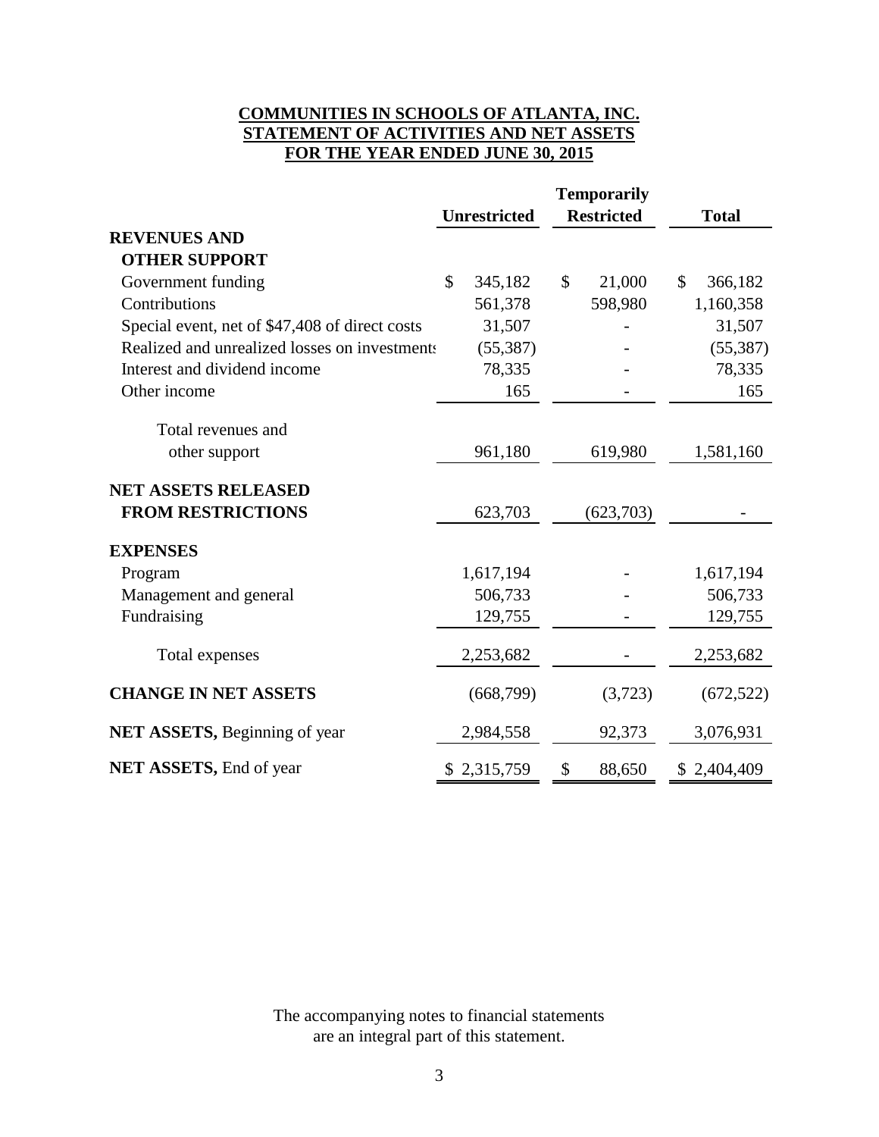## **COMMUNITIES IN SCHOOLS OF ATLANTA, INC. STATEMENT OF ACTIVITIES AND NET ASSETS FOR THE YEAR ENDED JUNE 30, 2015**

|                                                |               |                     | <b>Temporarily</b> |               |
|------------------------------------------------|---------------|---------------------|--------------------|---------------|
|                                                |               | <b>Unrestricted</b> | <b>Restricted</b>  | <b>Total</b>  |
| <b>REVENUES AND</b>                            |               |                     |                    |               |
| <b>OTHER SUPPORT</b>                           |               |                     |                    |               |
| Government funding                             | $\mathcal{S}$ | 345,182             | \$<br>21,000       | \$<br>366,182 |
| Contributions                                  |               | 561,378             | 598,980            | 1,160,358     |
| Special event, net of \$47,408 of direct costs |               | 31,507              |                    | 31,507        |
| Realized and unrealized losses on investments  |               | (55, 387)           |                    | (55, 387)     |
| Interest and dividend income                   |               | 78,335              |                    | 78,335        |
| Other income                                   |               | 165                 |                    | 165           |
| Total revenues and                             |               |                     |                    |               |
| other support                                  |               | 961,180             | 619,980            | 1,581,160     |
| <b>NET ASSETS RELEASED</b>                     |               |                     |                    |               |
| <b>FROM RESTRICTIONS</b>                       |               | 623,703             | (623,703)          |               |
| <b>EXPENSES</b>                                |               |                     |                    |               |
| Program                                        |               | 1,617,194           |                    | 1,617,194     |
| Management and general                         |               | 506,733             |                    | 506,733       |
| Fundraising                                    |               | 129,755             |                    | 129,755       |
| Total expenses                                 |               | 2,253,682           |                    | 2,253,682     |
| <b>CHANGE IN NET ASSETS</b>                    |               | (668,799)           | (3,723)            | (672, 522)    |
| <b>NET ASSETS, Beginning of year</b>           |               | 2,984,558           | 92,373             | 3,076,931     |
| NET ASSETS, End of year                        |               | \$2,315,759         | \$<br>88,650       | \$2,404,409   |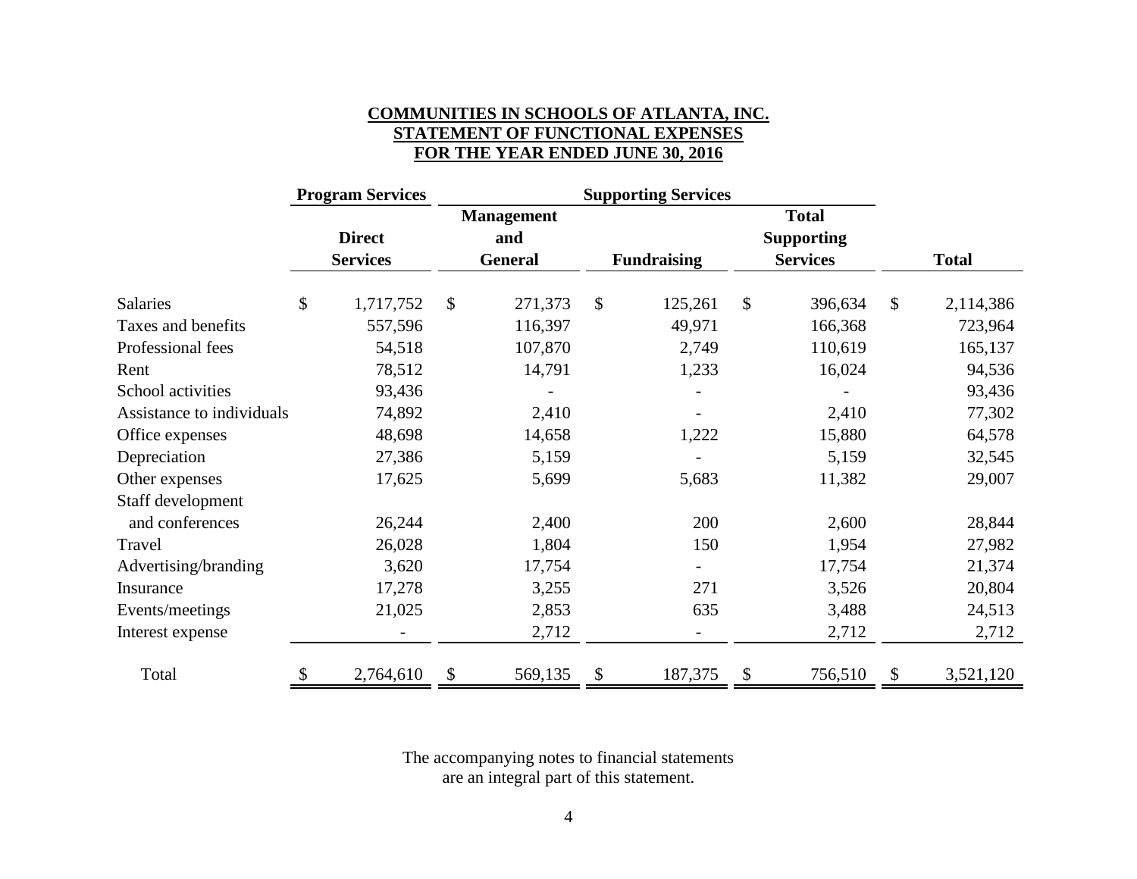#### **COMMUNITIES IN SCHOOLS OF ATLANTA, INC. STATEMENT OF FUNCTIONAL EXPENSES FOR THE YEAR ENDED JUNE 30, 2016**

|                           | <b>Program Services</b> | <b>Supporting Services</b> |                          |    |                    |    |                                   |    |              |
|---------------------------|-------------------------|----------------------------|--------------------------|----|--------------------|----|-----------------------------------|----|--------------|
|                           | <b>Direct</b>           |                            | <b>Management</b><br>and |    |                    |    | <b>Total</b><br><b>Supporting</b> |    |              |
|                           | <b>Services</b>         |                            | General                  |    | <b>Fundraising</b> |    | <b>Services</b>                   |    | <b>Total</b> |
| Salaries                  | \$<br>1,717,752         | \$                         | 271,373                  | \$ | 125,261            | \$ | 396,634                           | \$ | 2,114,386    |
| Taxes and benefits        | 557,596                 |                            | 116,397                  |    | 49,971             |    | 166,368                           |    | 723,964      |
| Professional fees         | 54,518                  |                            | 107,870                  |    | 2,749              |    | 110,619                           |    | 165,137      |
| Rent                      | 78,512                  |                            | 14,791                   |    | 1,233              |    | 16,024                            |    | 94,536       |
| School activities         | 93,436                  |                            |                          |    |                    |    |                                   |    | 93,436       |
| Assistance to individuals | 74,892                  |                            | 2,410                    |    |                    |    | 2,410                             |    | 77,302       |
| Office expenses           | 48,698                  |                            | 14,658                   |    | 1,222              |    | 15,880                            |    | 64,578       |
| Depreciation              | 27,386                  |                            | 5,159                    |    |                    |    | 5,159                             |    | 32,545       |
| Other expenses            | 17,625                  |                            | 5,699                    |    | 5,683              |    | 11,382                            |    | 29,007       |
| Staff development         |                         |                            |                          |    |                    |    |                                   |    |              |
| and conferences           | 26,244                  |                            | 2,400                    |    | 200                |    | 2,600                             |    | 28,844       |
| Travel                    | 26,028                  |                            | 1,804                    |    | 150                |    | 1,954                             |    | 27,982       |
| Advertising/branding      | 3,620                   |                            | 17,754                   |    |                    |    | 17,754                            |    | 21,374       |
| Insurance                 | 17,278                  |                            | 3,255                    |    | 271                |    | 3,526                             |    | 20,804       |
| Events/meetings           | 21,025                  |                            | 2,853                    |    | 635                |    | 3,488                             |    | 24,513       |
| Interest expense          |                         |                            | 2,712                    |    |                    |    | 2,712                             |    | 2,712        |
| Total                     | \$<br>2,764,610         | \$                         | 569,135                  | \$ | 187,375            | \$ | 756,510                           | \$ | 3,521,120    |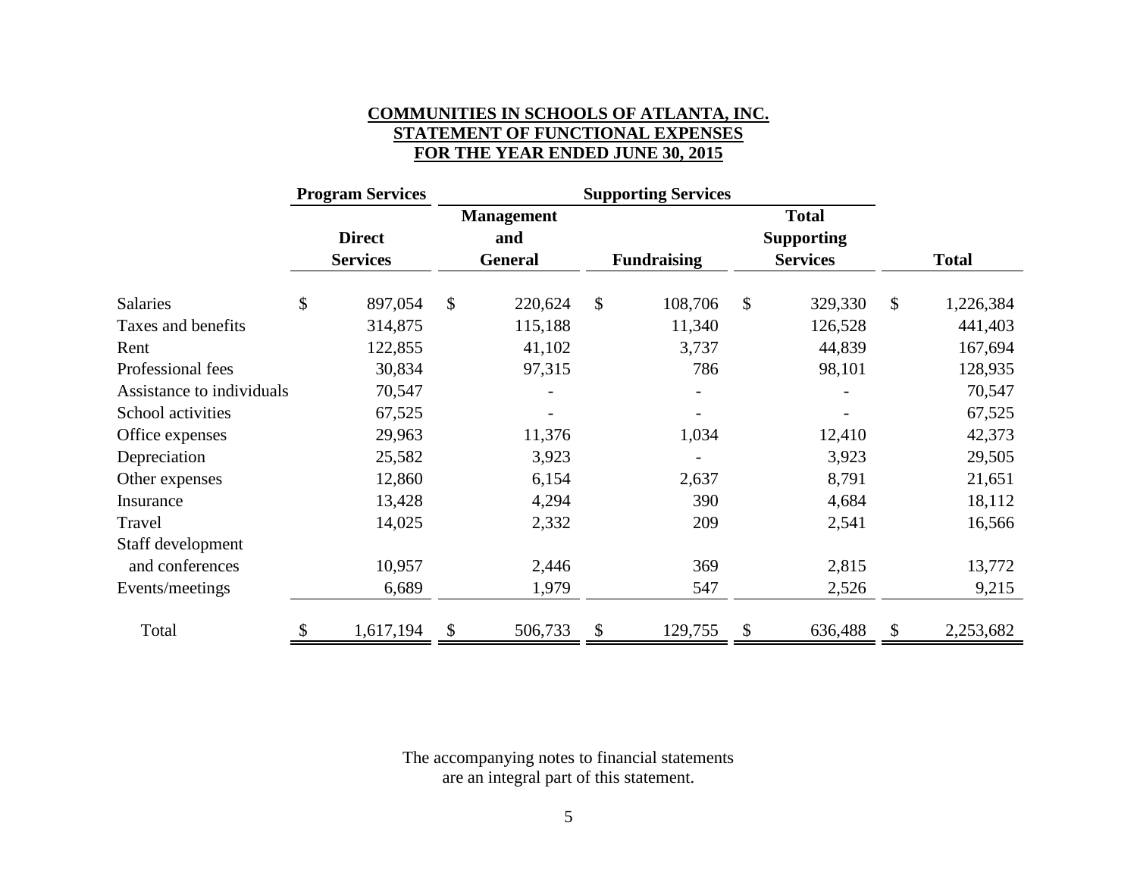#### **COMMUNITIES IN SCHOOLS OF ATLANTA, INC. STATEMENT OF FUNCTIONAL EXPENSES FOR THE YEAR ENDED JUNE 30, 2015**

|                           | <b>Program Services</b>          | <b>Supporting Services</b>                 |         |                           |         |                                                      |         |                 |
|---------------------------|----------------------------------|--------------------------------------------|---------|---------------------------|---------|------------------------------------------------------|---------|-----------------|
|                           | <b>Direct</b><br><b>Services</b> | <b>Management</b><br>and<br><b>General</b> |         | <b>Fundraising</b>        |         | <b>Total</b><br><b>Supporting</b><br><b>Services</b> |         | <b>Total</b>    |
|                           |                                  |                                            |         |                           |         |                                                      |         |                 |
| <b>Salaries</b>           | \$<br>897,054                    | $\mathcal{S}$                              | 220,624 | $\boldsymbol{\mathsf{S}}$ | 108,706 | \$                                                   | 329,330 | \$<br>1,226,384 |
| Taxes and benefits        | 314,875                          |                                            | 115,188 |                           | 11,340  |                                                      | 126,528 | 441,403         |
| Rent                      | 122,855                          |                                            | 41,102  |                           | 3,737   |                                                      | 44,839  | 167,694         |
| Professional fees         | 30,834                           |                                            | 97,315  |                           | 786     |                                                      | 98,101  | 128,935         |
| Assistance to individuals | 70,547                           |                                            |         |                           |         |                                                      |         | 70,547          |
| School activities         | 67,525                           |                                            |         |                           |         |                                                      |         | 67,525          |
| Office expenses           | 29,963                           |                                            | 11,376  |                           | 1,034   |                                                      | 12,410  | 42,373          |
| Depreciation              | 25,582                           |                                            | 3,923   |                           |         |                                                      | 3,923   | 29,505          |
| Other expenses            | 12,860                           |                                            | 6,154   |                           | 2,637   |                                                      | 8,791   | 21,651          |
| Insurance                 | 13,428                           |                                            | 4,294   |                           | 390     |                                                      | 4,684   | 18,112          |
| Travel                    | 14,025                           |                                            | 2,332   |                           | 209     |                                                      | 2,541   | 16,566          |
| Staff development         |                                  |                                            |         |                           |         |                                                      |         |                 |
| and conferences           | 10,957                           |                                            | 2,446   |                           | 369     |                                                      | 2,815   | 13,772          |
| Events/meetings           | 6,689                            |                                            | 1,979   |                           | 547     |                                                      | 2,526   | 9,215           |
| Total                     | \$<br>1,617,194                  | \$                                         | 506,733 | \$                        | 129,755 | \$                                                   | 636,488 | \$<br>2,253,682 |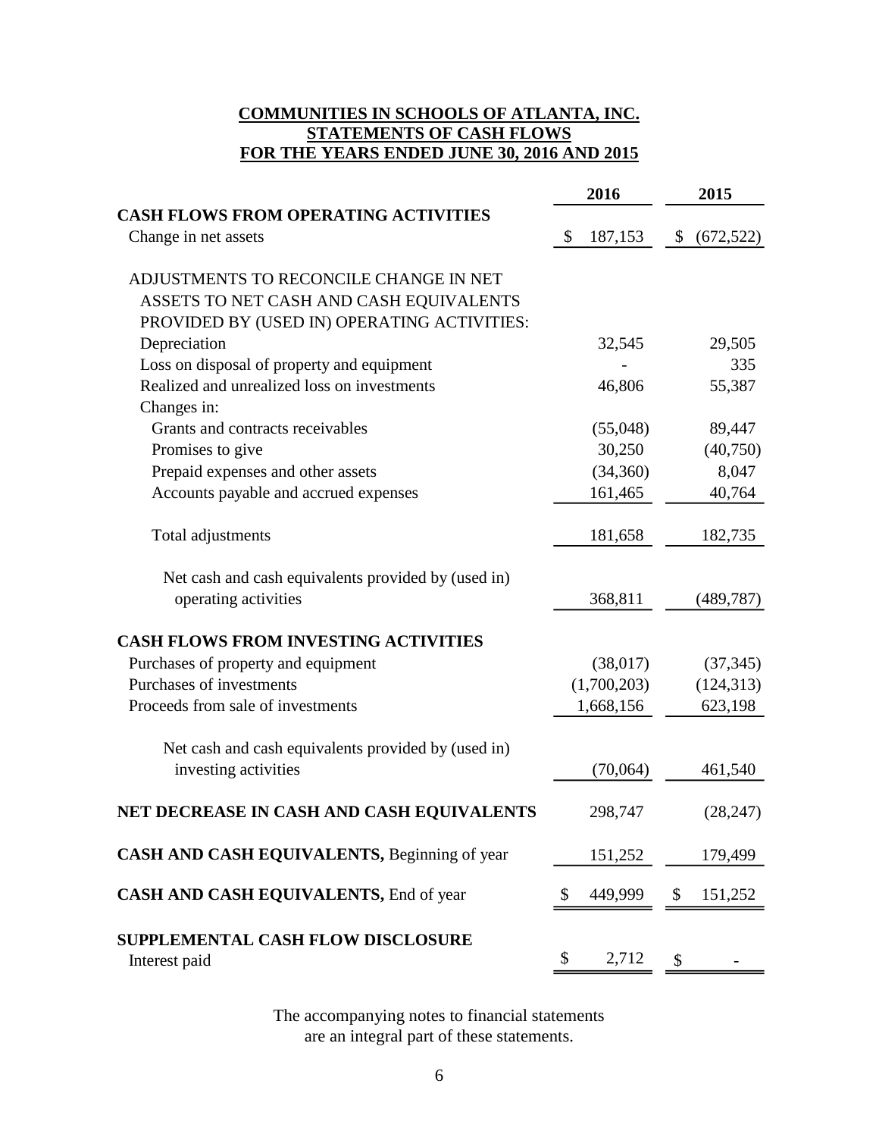# **COMMUNITIES IN SCHOOLS OF ATLANTA, INC. STATEMENTS OF CASH FLOWS FOR THE YEARS ENDED JUNE 30, 2016 AND 2015**

|                                                                     | 2016                                 | 2015                        |
|---------------------------------------------------------------------|--------------------------------------|-----------------------------|
| <b>CASH FLOWS FROM OPERATING ACTIVITIES</b><br>Change in net assets | $\boldsymbol{\mathsf{S}}$<br>187,153 | (672, 522)<br>$\mathcal{L}$ |
|                                                                     |                                      |                             |
| ADJUSTMENTS TO RECONCILE CHANGE IN NET                              |                                      |                             |
| ASSETS TO NET CASH AND CASH EQUIVALENTS                             |                                      |                             |
| PROVIDED BY (USED IN) OPERATING ACTIVITIES:                         |                                      |                             |
| Depreciation                                                        | 32,545                               | 29,505                      |
| Loss on disposal of property and equipment                          |                                      | 335                         |
| Realized and unrealized loss on investments                         | 46,806                               | 55,387                      |
| Changes in:                                                         |                                      |                             |
| Grants and contracts receivables                                    | (55,048)                             | 89,447                      |
| Promises to give                                                    | 30,250                               | (40,750)                    |
| Prepaid expenses and other assets                                   | (34,360)                             | 8,047                       |
| Accounts payable and accrued expenses                               | 161,465                              | 40,764                      |
| Total adjustments                                                   | 181,658                              | 182,735                     |
| Net cash and cash equivalents provided by (used in)                 |                                      |                             |
| operating activities                                                | 368,811                              | (489, 787)                  |
| <b>CASH FLOWS FROM INVESTING ACTIVITIES</b>                         |                                      |                             |
| Purchases of property and equipment                                 | (38,017)                             | (37, 345)                   |
| Purchases of investments                                            | (1,700,203)                          | (124, 313)                  |
| Proceeds from sale of investments                                   | 1,668,156                            | 623,198                     |
| Net cash and cash equivalents provided by (used in)                 |                                      |                             |
| investing activities                                                | (70,064)                             | 461,540                     |
| NET DECREASE IN CASH AND CASH EQUIVALENTS                           | 298,747                              | (28, 247)                   |
| <b>CASH AND CASH EQUIVALENTS, Beginning of year</b>                 | 151,252                              | 179,499                     |
| CASH AND CASH EQUIVALENTS, End of year                              | 449,999<br>\$                        | \$<br>151,252               |
| SUPPLEMENTAL CASH FLOW DISCLOSURE                                   |                                      |                             |
| Interest paid                                                       | \$<br>2,712                          | \$                          |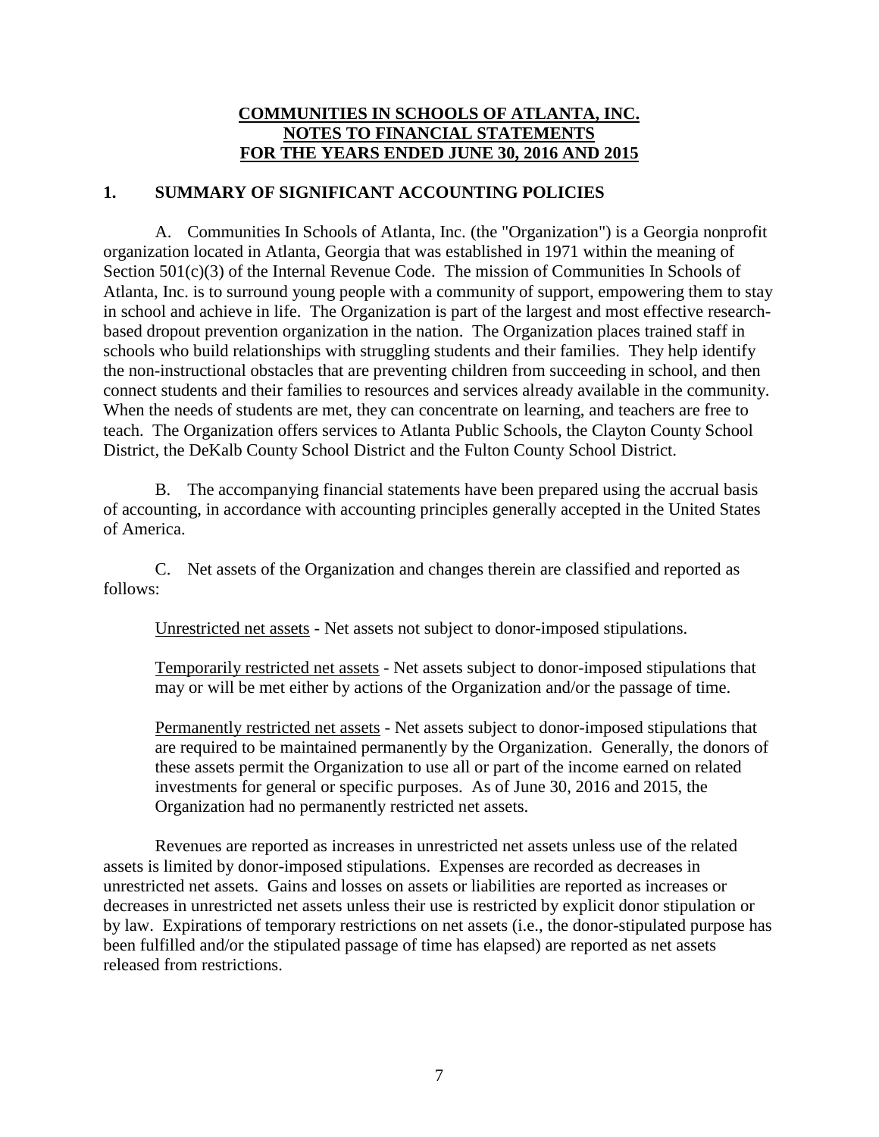#### **1. SUMMARY OF SIGNIFICANT ACCOUNTING POLICIES**

A. Communities In Schools of Atlanta, Inc. (the "Organization") is a Georgia nonprofit organization located in Atlanta, Georgia that was established in 1971 within the meaning of Section 501(c)(3) of the Internal Revenue Code. The mission of Communities In Schools of Atlanta, Inc. is to surround young people with a community of support, empowering them to stay in school and achieve in life. The Organization is part of the largest and most effective researchbased dropout prevention organization in the nation. The Organization places trained staff in schools who build relationships with struggling students and their families. They help identify the non-instructional obstacles that are preventing children from succeeding in school, and then connect students and their families to resources and services already available in the community. When the needs of students are met, they can concentrate on learning, and teachers are free to teach. The Organization offers services to Atlanta Public Schools, the Clayton County School District, the DeKalb County School District and the Fulton County School District.

B. The accompanying financial statements have been prepared using the accrual basis of accounting, in accordance with accounting principles generally accepted in the United States of America.

C. Net assets of the Organization and changes therein are classified and reported as follows:

Unrestricted net assets - Net assets not subject to donor-imposed stipulations.

Temporarily restricted net assets - Net assets subject to donor-imposed stipulations that may or will be met either by actions of the Organization and/or the passage of time.

Permanently restricted net assets - Net assets subject to donor-imposed stipulations that are required to be maintained permanently by the Organization. Generally, the donors of these assets permit the Organization to use all or part of the income earned on related investments for general or specific purposes. As of June 30, 2016 and 2015, the Organization had no permanently restricted net assets.

Revenues are reported as increases in unrestricted net assets unless use of the related assets is limited by donor-imposed stipulations. Expenses are recorded as decreases in unrestricted net assets. Gains and losses on assets or liabilities are reported as increases or decreases in unrestricted net assets unless their use is restricted by explicit donor stipulation or by law. Expirations of temporary restrictions on net assets (i.e., the donor-stipulated purpose has been fulfilled and/or the stipulated passage of time has elapsed) are reported as net assets released from restrictions.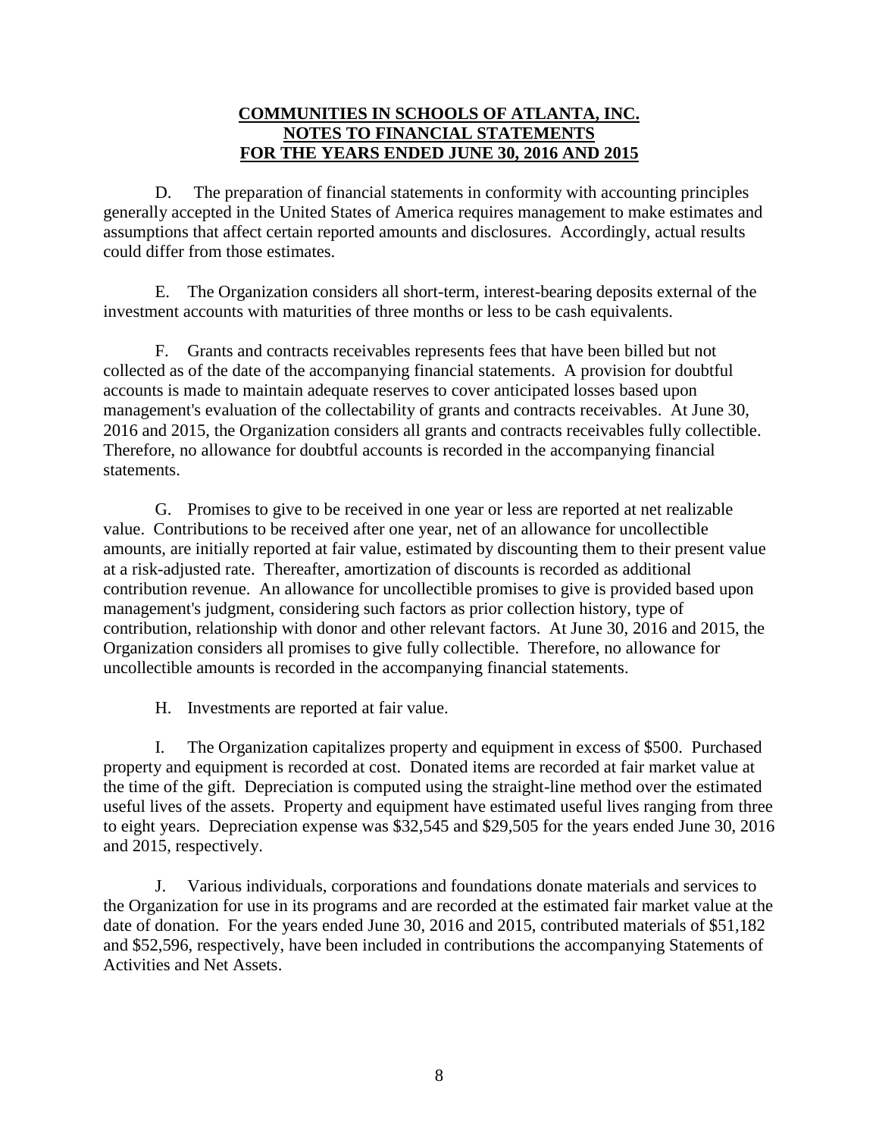D. The preparation of financial statements in conformity with accounting principles generally accepted in the United States of America requires management to make estimates and assumptions that affect certain reported amounts and disclosures. Accordingly, actual results could differ from those estimates.

E. The Organization considers all short-term, interest-bearing deposits external of the investment accounts with maturities of three months or less to be cash equivalents.

F. Grants and contracts receivables represents fees that have been billed but not collected as of the date of the accompanying financial statements. A provision for doubtful accounts is made to maintain adequate reserves to cover anticipated losses based upon management's evaluation of the collectability of grants and contracts receivables. At June 30, 2016 and 2015, the Organization considers all grants and contracts receivables fully collectible. Therefore, no allowance for doubtful accounts is recorded in the accompanying financial statements.

G. Promises to give to be received in one year or less are reported at net realizable value. Contributions to be received after one year, net of an allowance for uncollectible amounts, are initially reported at fair value, estimated by discounting them to their present value at a risk-adjusted rate. Thereafter, amortization of discounts is recorded as additional contribution revenue. An allowance for uncollectible promises to give is provided based upon management's judgment, considering such factors as prior collection history, type of contribution, relationship with donor and other relevant factors. At June 30, 2016 and 2015, the Organization considers all promises to give fully collectible. Therefore, no allowance for uncollectible amounts is recorded in the accompanying financial statements.

H. Investments are reported at fair value.

I. The Organization capitalizes property and equipment in excess of \$500. Purchased property and equipment is recorded at cost. Donated items are recorded at fair market value at the time of the gift. Depreciation is computed using the straight-line method over the estimated useful lives of the assets. Property and equipment have estimated useful lives ranging from three to eight years. Depreciation expense was \$32,545 and \$29,505 for the years ended June 30, 2016 and 2015, respectively.

J. Various individuals, corporations and foundations donate materials and services to the Organization for use in its programs and are recorded at the estimated fair market value at the date of donation. For the years ended June 30, 2016 and 2015, contributed materials of \$51,182 and \$52,596, respectively, have been included in contributions the accompanying Statements of Activities and Net Assets.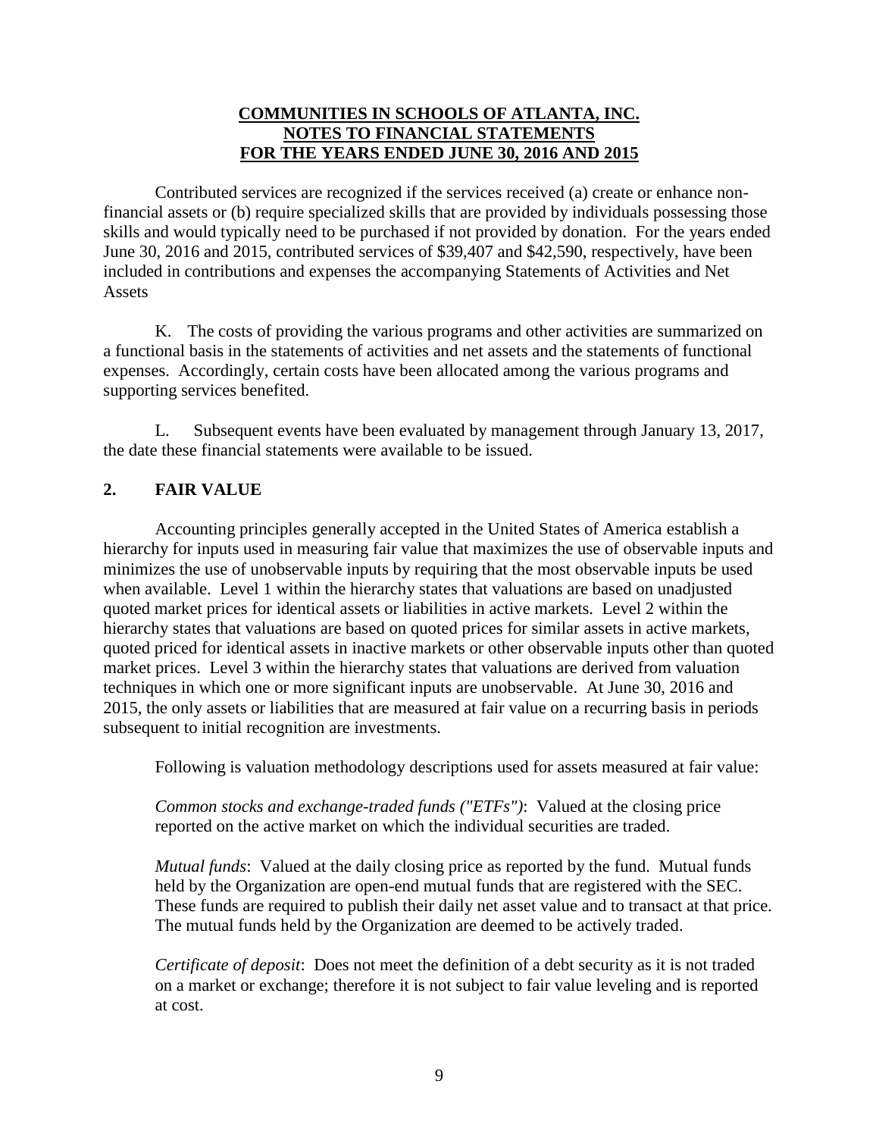Contributed services are recognized if the services received (a) create or enhance nonfinancial assets or (b) require specialized skills that are provided by individuals possessing those skills and would typically need to be purchased if not provided by donation. For the years ended June 30, 2016 and 2015, contributed services of \$39,407 and \$42,590, respectively, have been included in contributions and expenses the accompanying Statements of Activities and Net Assets

K. The costs of providing the various programs and other activities are summarized on a functional basis in the statements of activities and net assets and the statements of functional expenses. Accordingly, certain costs have been allocated among the various programs and supporting services benefited.

L. Subsequent events have been evaluated by management through January 13, 2017, the date these financial statements were available to be issued.

# **2. FAIR VALUE**

Accounting principles generally accepted in the United States of America establish a hierarchy for inputs used in measuring fair value that maximizes the use of observable inputs and minimizes the use of unobservable inputs by requiring that the most observable inputs be used when available. Level 1 within the hierarchy states that valuations are based on unadjusted quoted market prices for identical assets or liabilities in active markets. Level 2 within the hierarchy states that valuations are based on quoted prices for similar assets in active markets, quoted priced for identical assets in inactive markets or other observable inputs other than quoted market prices. Level 3 within the hierarchy states that valuations are derived from valuation techniques in which one or more significant inputs are unobservable. At June 30, 2016 and 2015, the only assets or liabilities that are measured at fair value on a recurring basis in periods subsequent to initial recognition are investments.

Following is valuation methodology descriptions used for assets measured at fair value:

*Common stocks and exchange-traded funds ("ETFs")*: Valued at the closing price reported on the active market on which the individual securities are traded.

*Mutual funds*: Valued at the daily closing price as reported by the fund. Mutual funds held by the Organization are open-end mutual funds that are registered with the SEC. These funds are required to publish their daily net asset value and to transact at that price. The mutual funds held by the Organization are deemed to be actively traded.

*Certificate of deposit*: Does not meet the definition of a debt security as it is not traded on a market or exchange; therefore it is not subject to fair value leveling and is reported at cost.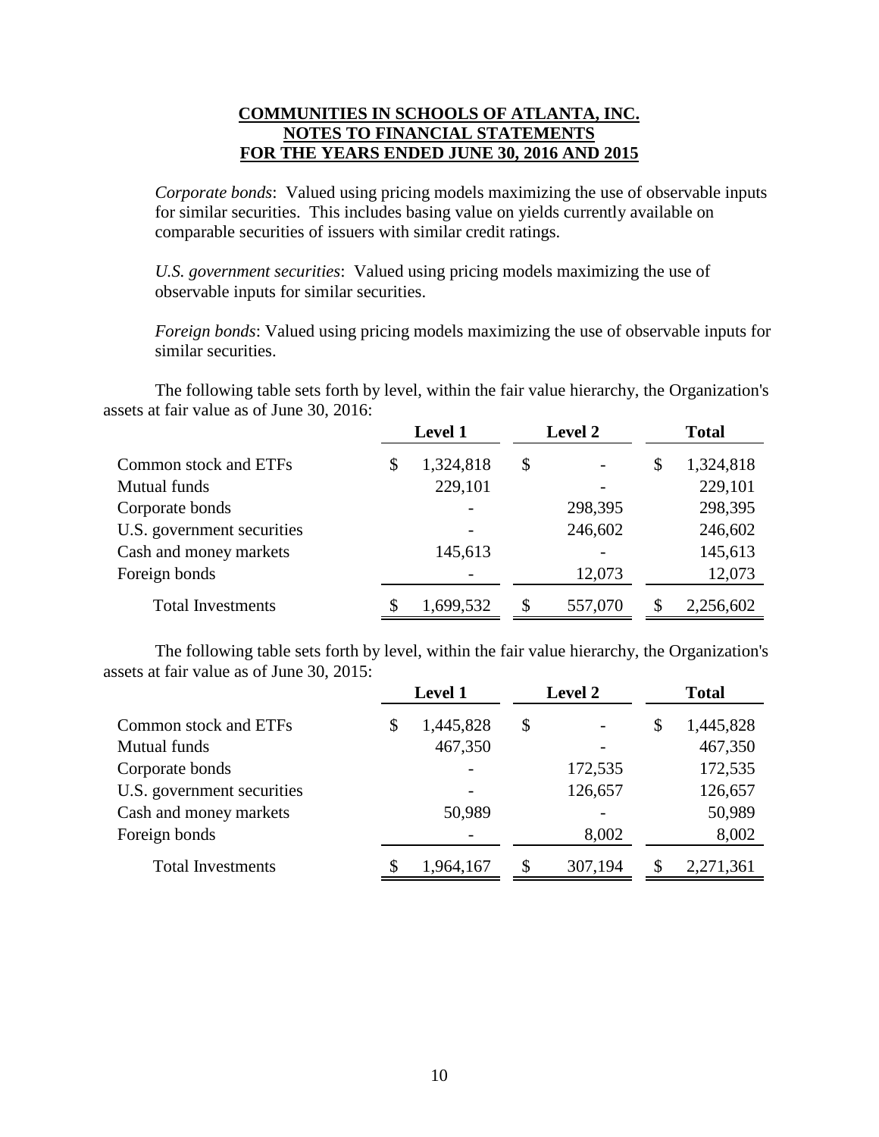*Corporate bonds*: Valued using pricing models maximizing the use of observable inputs for similar securities. This includes basing value on yields currently available on comparable securities of issuers with similar credit ratings.

*U.S. government securities*: Valued using pricing models maximizing the use of observable inputs for similar securities.

*Foreign bonds*: Valued using pricing models maximizing the use of observable inputs for similar securities.

The following table sets forth by level, within the fair value hierarchy, the Organization's assets at fair value as of June 30, 2016:

|                            | <b>Level 1</b> |           |          | <b>Level 2</b> |    | <b>Total</b> |
|----------------------------|----------------|-----------|----------|----------------|----|--------------|
| Common stock and ETFs      | \$             | 1,324,818 | \$       |                | \$ | 1,324,818    |
| Mutual funds               |                | 229,101   |          |                |    | 229,101      |
| Corporate bonds            |                |           |          | 298,395        |    | 298,395      |
| U.S. government securities |                |           |          | 246,602        |    | 246,602      |
| Cash and money markets     |                | 145,613   |          |                |    | 145,613      |
| Foreign bonds              |                |           |          | 12,073         |    | 12,073       |
| <b>Total Investments</b>   | \$.            | 1,699,532 | <b>S</b> | 557,070        | S  | 2,256,602    |

The following table sets forth by level, within the fair value hierarchy, the Organization's assets at fair value as of June 30, 2015:

|                            | <b>Level 1</b> |           | <b>Level 2</b> | <b>Total</b>    |
|----------------------------|----------------|-----------|----------------|-----------------|
| Common stock and ETFs      | \$             | 1,445,828 | \$             | \$<br>1,445,828 |
| Mutual funds               |                | 467,350   | -              | 467,350         |
| Corporate bonds            |                |           | 172,535        | 172,535         |
| U.S. government securities |                |           | 126,657        | 126,657         |
| Cash and money markets     |                | 50,989    |                | 50,989          |
| Foreign bonds              |                |           | 8,002          | 8,002           |
| <b>Total Investments</b>   |                | 1,964,167 | 307,194        | 2,271,361       |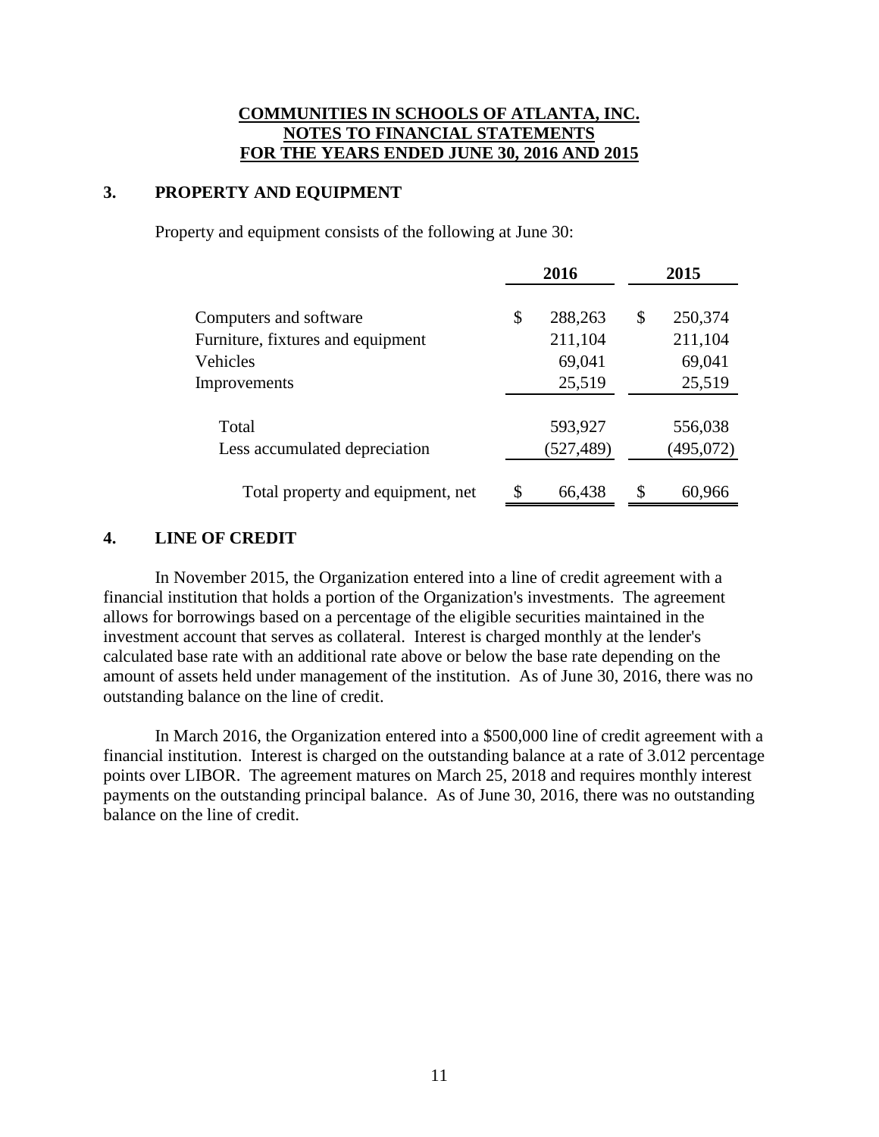#### **3. PROPERTY AND EQUIPMENT**

Property and equipment consists of the following at June 30:

|                                   | 2016          | 2015          |
|-----------------------------------|---------------|---------------|
| Computers and software            | \$<br>288,263 | \$<br>250,374 |
| Furniture, fixtures and equipment | 211,104       | 211,104       |
| Vehicles                          | 69,041        | 69,041        |
| Improvements                      | 25,519        | 25,519        |
| Total                             | 593,927       | 556,038       |
| Less accumulated depreciation     | (527, 489)    | (495,072)     |
| Total property and equipment, net | \$<br>66,438  | \$<br>60,966  |

### **4. LINE OF CREDIT**

In November 2015, the Organization entered into a line of credit agreement with a financial institution that holds a portion of the Organization's investments. The agreement allows for borrowings based on a percentage of the eligible securities maintained in the investment account that serves as collateral. Interest is charged monthly at the lender's calculated base rate with an additional rate above or below the base rate depending on the amount of assets held under management of the institution. As of June 30, 2016, there was no outstanding balance on the line of credit.

In March 2016, the Organization entered into a \$500,000 line of credit agreement with a financial institution. Interest is charged on the outstanding balance at a rate of 3.012 percentage points over LIBOR. The agreement matures on March 25, 2018 and requires monthly interest payments on the outstanding principal balance. As of June 30, 2016, there was no outstanding balance on the line of credit.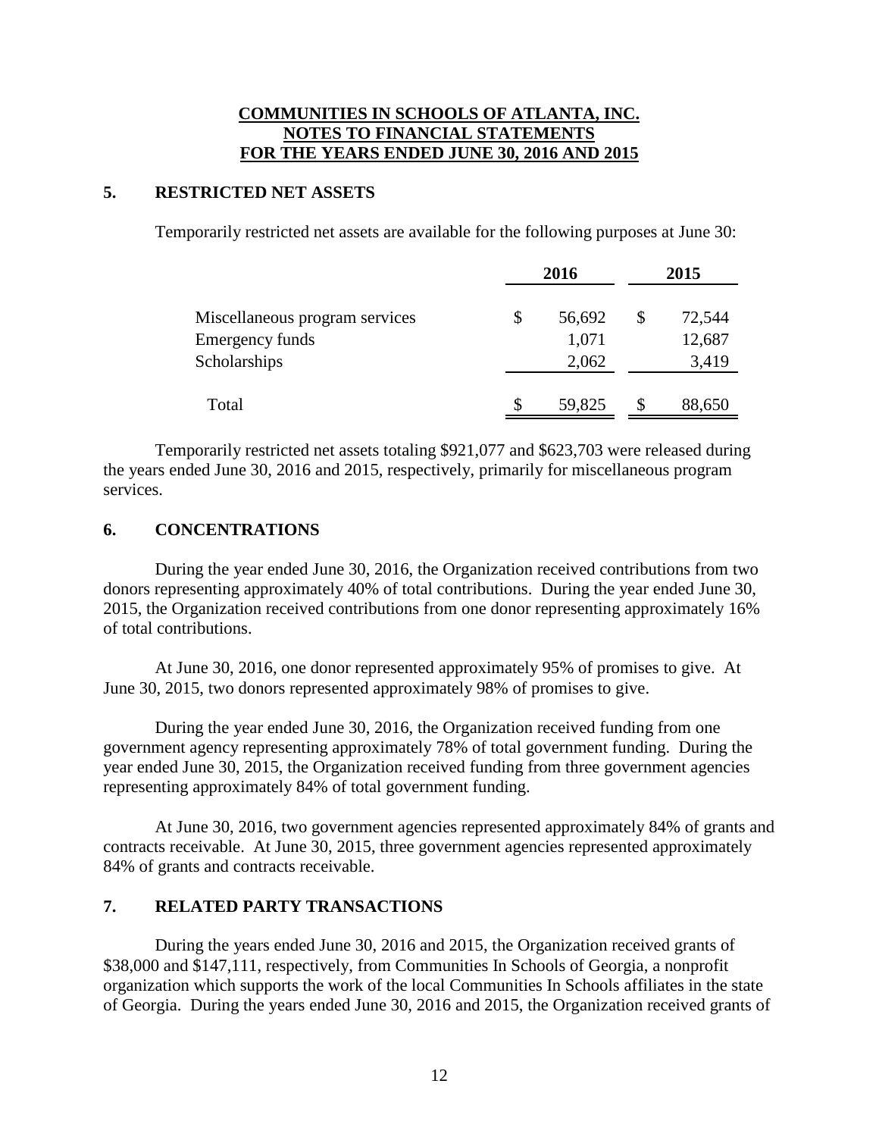#### **5. RESTRICTED NET ASSETS**

Temporarily restricted net assets are available for the following purposes at June 30:

|                                | 2016         | 2015   |
|--------------------------------|--------------|--------|
| Miscellaneous program services | \$<br>56,692 | 72,544 |
| <b>Emergency funds</b>         | 1,071        | 12,687 |
| Scholarships                   | 2,062        | 3,419  |
| Total                          | \$<br>59,825 | 88,650 |

Temporarily restricted net assets totaling \$921,077 and \$623,703 were released during the years ended June 30, 2016 and 2015, respectively, primarily for miscellaneous program services.

#### **6. CONCENTRATIONS**

During the year ended June 30, 2016, the Organization received contributions from two donors representing approximately 40% of total contributions. During the year ended June 30, 2015, the Organization received contributions from one donor representing approximately 16% of total contributions.

At June 30, 2016, one donor represented approximately 95% of promises to give. At June 30, 2015, two donors represented approximately 98% of promises to give.

During the year ended June 30, 2016, the Organization received funding from one government agency representing approximately 78% of total government funding. During the year ended June 30, 2015, the Organization received funding from three government agencies representing approximately 84% of total government funding.

At June 30, 2016, two government agencies represented approximately 84% of grants and contracts receivable. At June 30, 2015, three government agencies represented approximately 84% of grants and contracts receivable.

#### **7. RELATED PARTY TRANSACTIONS**

During the years ended June 30, 2016 and 2015, the Organization received grants of \$38,000 and \$147,111, respectively, from Communities In Schools of Georgia, a nonprofit organization which supports the work of the local Communities In Schools affiliates in the state of Georgia. During the years ended June 30, 2016 and 2015, the Organization received grants of